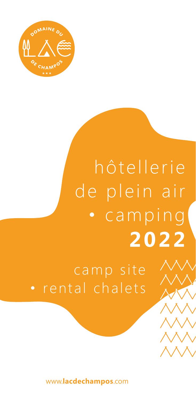

### hôtellerie de plein air camping **2022**

camp site • rental chalets

www.**lacdechampos**.com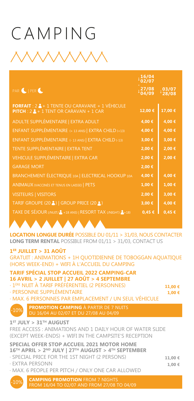### CAMPING

| PAR CIPER C                                                                                                               | 27/08<br>04/09 | $\frac{103/07}{28/08}$ |
|---------------------------------------------------------------------------------------------------------------------------|----------------|------------------------|
| <b>FORFAIT</b> : $2 \cdot 4 + 1$ TENTE OU CARAVANE + 1 VÉHICULE<br><b>PITCH</b> : $2 \cdot 4 + 1$ TENT OR CARAVAN + 1 CAR | 12,00 €        | 17,00 €                |
| ADULTE SUPPLÉMENTAIRE   EXTRA ADULT                                                                                       | 4,00 €         | 4,00 €                 |
| ENFANT SUPPLÉMENTAIRE (+ 13 ANS)   EXTRA CHILD (+13)                                                                      | 4,00 €         | 4,00 €                 |
| ENFANT SUPPLÉMENTAIRE (-13 ANS)   EXTRA CHILD (-13)                                                                       | 3,00 €         | 3,00 €                 |
| <b>TENTE SUPPLÉMENTAIRE   EXTRA TENT</b>                                                                                  | 2,00 €         | 2,00 €                 |
| VEHICULE SUPPLÉMENTAIRE   EXTRA CAR                                                                                       | 2,00 €         | 2,00 €                 |
| <b>GARAGE MORT</b>                                                                                                        | 2,00 €         |                        |
| BRANCHEMENT ÉLECTRIQUE 10A   ELECTRICAL HOOKUP 10A                                                                        | 4,00 €         | 4,00 €                 |
| <b>ANIMAUX (VACCINÉS ET TENUS EN LAISSE)   PETS</b>                                                                       | 1,00 €         | 1,00 €                 |
| <b>VISITEURS   VISITORS</b>                                                                                               | 2,00 €         | 3,00 €                 |
| TARIF GROUPE (20 3)   GROUP PRICE (20 3)                                                                                  | 3,00 €         | 4,00 €                 |
| TAXE DE SÉJOUR (/NUIT/A +18 ANS)   RESORT TAX (/NIGHT/A+18)                                                               | 0,45 €         | 0,45 €                 |
|                                                                                                                           |                |                        |

**LOCATION LONGUE DURÉE** POSSIBLE DU 01/11 > 31/03, NOUS CONTACTER **LONG TERM RENTAL** POSSIBLE FROM 01/11 > 31/03, CONTACT US

#### **1ER JUILLET > 31 AOÛT**

GRATUIT : ANIMATIONS + 1H QUOTIDIENNE DE TOBOGGAN AQUATIQUE (HORS WEEK-END) + WIFI À L'ACCUEIL DU CAMPING

**TARIF SPÉCIAL STOP ACCUEIL 2022 CAMPING-CAR 16 AVRIL > 2 JUILLET | 27 AOÛT > 4 SEPTEMBRE**  · 1ÈRE NUIT À TARIF PRÉFÉRENTIEL (2 PERSONNES)

| - - | - |
|-----|---|
| . . |   |

· PERSONNE SUPPLÉMENTAIRE · MAX. 6 PERSONNES PAR EMPLACEMENT / UN SEUL VÉHICULE

 $-109$ **PROMOTION CAMPING** À PARTIR DE 7 NUITS

#### **1ST JULY > 31TH AUGUST**

FREE ACCESS : ANIMATIONS AND 1 DAILY HOUR OF WATER SLIDE (EXCEPT WEEK-ENDS) + WIFI IN THE CAMPSITE'S RECEPTION

**SPECIAL OFFER STOP ACCUEIL 2021 MOTOR HOME 16TH APRIL > 2ND JULY | 27TH AUGUST > 4TH SEPTEMBER**  · SPECIAL PRICE FOR THE 1ST NIGHT (2 PERSONS) · EXTRA PERSONN

· MAX. 6 PEOPLE PER PITCH / ONLY ONE CAR ALLOWED

**11,00 € 1,00 €**

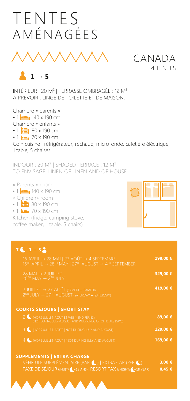### TENTES AMÉNAGÉES



 $1 \rightarrow 5$ 

INTÉRIEUR : 20 M² | TERRASSE OMBRAGÉE : 12 M² À PRÉVOIR : LINGE DE TOILETTE ET DE MAISON.

Chambre « parents » • 1 **. 140** x 190 cm Chambre « enfants » • 1 $\frac{1}{1}$  80 x 190 cm  $\cdot$  1  $\frac{1}{2}$  70 x 190 cm Coin cuisine : réfrigérateur, réchaud, micro-onde, cafetière éléctrique, 1 table, 5 chaises

INDOOR : 20 M² | SHADED TERRACE : 12 M² TO ENVISAGE: LINEN OF LINEN AND OF HOUSE.

- « Parents » room
- 1  $\bullet$  140 x 190 cm
- « Children» room
- 1  $\frac{1}{2}$  80 x 190 cm
- $\cdot$  1  $\frac{1}{2}$  70 x 190 cm

Kitchen (fridge, camping stove, coffee maker, 1 table, 5 chairs)

| $7$ ( $1 \rightarrow 5$ )                                                                                                                                                                    |            |
|----------------------------------------------------------------------------------------------------------------------------------------------------------------------------------------------|------------|
| 16 AVRIL $\rightarrow$ 28 MAI   27 AOÛT $\rightarrow$ 4 SEPTEMBRE<br>$16^{\text{TH}}$ APRIL $\rightarrow 28^{\text{TH}}$ MAY   27 <sup>TH</sup> AUGUST $\rightarrow 4^{\text{TH}}$ SEPTEMBER | 199,00 €   |
| 28 MAI $\rightarrow$ 2 JUILLET<br>$28$ <sup>TH</sup> MAY $\rightarrow$ 2 <sup>TH</sup> JULY                                                                                                  | 329,00 €   |
| 2 JUILLET → 27 AOÛT (SAMEDI → SAMEDI)<br>2 <sup>ND</sup> JULY → 27 <sup>TH</sup> AUGUST (SATURDAY → SATURDAY)                                                                                | 419,00 €   |
| <b>COURTS SÉJOURS   SHORT STAY</b>                                                                                                                                                           |            |
| 2 (HORS JUILLET-AOÛT ET WEEK-END FÉRIÉS)<br>(NOT DURING JULY-AUGUST AND WEEK-ENDS OF OFFICIALS DAYS)                                                                                         | 89,00 €    |
| 3 (HORS JUILLET-AOÛT   NOT DURING JULY AND AUGUST)                                                                                                                                           | 129,00 €   |
| 4 (HORS JUILLET-AOÛT   (NOT DURING JULY AND AUGUST)                                                                                                                                          | 169,00 €   |
| <b>SUPPLÉMENTS   EXTRA CHARGE</b>                                                                                                                                                            |            |
| VÉHICULE SUPPLÉMENTAIRE (PAR (C)   EXTRA CAR (PER (C)                                                                                                                                        | 3,00 €     |
| TAXE DE SÉJOUR (/NUIT/ 18 ANS)   RESORT TAX (/NIGHT/ 18 YEAR)                                                                                                                                | $0,45 \in$ |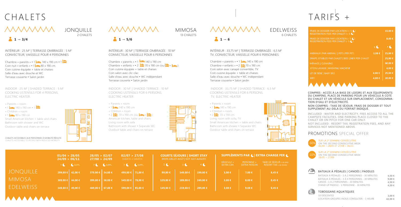

Chambre « parents » • 1 $\approx$  140 x 190 cm • 1 $\approx$ Coin nuit « enfants »  $\cdot$  1 $\cdot$  80 x 190 cm. Coin cuisine équipée + table et chaises Salle d'eau avec douche et WC Terrasse couverte • Salon jardin

INDOOR : 25 M<sup>2</sup> | SHADED TERRACE : 5 M<sup>2</sup> COOKING USTENSILS FOR 4 PERSONS, ELECTRIC HEATER.

COMPRIS : ACCÈS À LA BASE DE LOISIRS ET AUX ÉQUIPEMENTS DU CAMPING, PLACE DE PARKING POUR UN VÉHICULE À COTÉ DU CHALET ET UN VÉHICULE SUR EMPLACEMENT, CONSOMMA-TION D'EAU ET D'ÉLECTRICITÉ.

INDOOR : 30 M<sup>2</sup> | SHADED TERRACE : 10 M<sup>2</sup> COOKING USTENSILS FOR 6 PERSONS, ELECTRIC HEATER

> NON COMPRIS : TAXE DE SÉJOUR, FRAIS DE DOSSIER ET TOUT SUPPLÉMENT AU-DELÀ DU FORFAIT INDIQUÉ.

 $\cdot$  1  $\bullet$  140 x 190 cm « Children » room

INCLUDED : WATER AND ELECTRICITY, FREE ACCESS TO ALL THE CAMPSITE FACILITIES, ONE PARKING PLACE CLOSED TO THE CHALET OR ON PITCH FOR ONE CAR ONLY. NOT INCLUDED : RESORT TAX, REGISTRATION FEES, AND ANY SERVICES NOT MENTIONED ABOVE.

### PROMOTIONS SPECIAL OFFER

 $\cdot$  2  $\frac{1}{2}$  70 x 190 cm Living room with sofa, TV Small American kitchen + table and chairs Bathroom with shower • Separate WC Outdoor table and chairs on terrace



INTÉRIEUR : 25 M2 | TERRASSE OMBRAGÉE : 5 M2 CONVECTEUR, VAISSELLE POUR 4 PERSONNES

JONQUILLE

Chambre « parents » • 1 $\leftarrow$  140 x 190 cm Chambre « enfants » • 2  $\frac{1}{2}$  70 x 190 cm (ou  $\frac{1}{2}$  +  $\frac{1}{2}$ ) Coin cuisine équipée + table et chaises Coin salon avec clic-clac Salle d'eau avec douche • WC indépendant Terrasse couverte • Salon jardin

CHALETS ACCESSIBLES AUX PERSONNES À MOBILITÉ RÉDUITE CHALETS ACCESSIBLE TO PEOPLE WITH REDUCED MOBILITY

> SUR LA 2<sup>E</sup> SEMAINE CONSÉCUTIVE ON THE SECOND CONSECUTIVE WEEK 28/05 > 27/08

## CHALETS *i* Avanavan







Chambre « parents » • 1  $\leftarrow$  140 x 190 cm Chambre « enfants » •  $2 \div 70 \times 190$  cm Coin salon avec canapé convertible, TV Coin cuisine équipée + table et chaises Salle d'eau avec douche • WC indépendant Terrasse couverte • Salon jardin

|                  | 01/04 > 28/05<br>24/09 > 06/11 | 28/05 > 02/07<br>27/08 > 24/09 |          |                    | 02/07 > 27/08<br>$(SAMEDI \rightarrow SAMEDI)$ |                | <b>COURTS SÉJOURS   SHORT STAY</b><br>(HORS JUILLET-AOÛT   NOT JULY-AUGUST) |                | SUPPLÉMENTS PAR ( EXTRA CHARGE PER ( |                                   |                                                           |  |
|------------------|--------------------------------|--------------------------------|----------|--------------------|------------------------------------------------|----------------|-----------------------------------------------------------------------------|----------------|--------------------------------------|-----------------------------------|-----------------------------------------------------------|--|
|                  | SUPPL.                         |                                | 7 SUPPL. |                    | SUPPL.                                         | 2 <sub>0</sub> |                                                                             | 4 <sup>4</sup> | VÉHICULE +<br><b>EXTRA CAR</b>       | PERSONNE +<br><b>EXTRA PERSON</b> | TAXE DE SÉJOUR (+18 ANS)<br><b>RESORT TAX (+18 YEARS)</b> |  |
| <b>JONQUILLE</b> | 299,00 € 42,00 €               | 379,00 € 54,00 €               |          | 499,00 € 71,00 €   |                                                | 99,00 €        | 149.00 €                                                                    | 199.00€        | 3,00 €                               | 7,00 €                            | 0,45€                                                     |  |
| <b>MIMOSA</b>    | 309,00 € 44,00 €               | 399,00 € 58,00 €               |          |                    | 549,00 €   78,00 €                             | 129,00 €       | 189,00€                                                                     | 249,00 €       | 3,00 €                               | 8,00 €                            | 0,45€                                                     |  |
| EDELWEISS        | 349,00 € 49,00 €               | 469,00 €   67,00 €             |          | 599,00 €   85,00 € |                                                | 149,00 €       | 219,00 €                                                                    | 289,00 €       | 3,00 €                               | 9,00 €                            | 0,45€                                                     |  |





« Parents » room  $\cdot$  1  $\bullet$  140 x 190 cm « Children » room • 2  $\frac{1}{2}$  70 x 190 cm (ou  $\frac{1}{2}$  +  $\frac{1}{2}$  ) American kitchen, table and chairs Living room with sofa Bathroom with shower • Separate WC Outdoor table and chairs on terrace



MIMOSA

# *i* Avanavan

| FRAIS DE DOSSIER PAR LOCATION $(+ 5 \bullet)$<br>REGISTRATION FEES PER CHALET (+ 5 |                | 15.00 €        |
|------------------------------------------------------------------------------------|----------------|----------------|
| FRAIS DE DOSSIER PAR LOCATION (- 5 C)<br>REGISTRATION FEES PER CHALET (- 5 C)      |                | 8,00 €         |
|                                                                                    | $\overline{1}$ | 7 <sup>2</sup> |
| ANIMAUX (PAR ANIMAL)   PETS (PER PET)                                              | 3.00 €         | 15,00 €        |
| DRAPS JETABLES PAR CHALET   BED LINEN PER CHALET                                   |                | 25,00 €        |
| MÉNAGE   CLEANING                                                                  |                | 60,00 €        |
| JETON LAVAGE   WASHING MACHINE                                                     |                | 4,00 €         |
| LIT DE BÉBÉ   BABY BED                                                             | 4,00 €         | $25,00 \in$    |
| <b>WIFI</b>                                                                        | 4,00 €         | 20,00 €        |
|                                                                                    |                |                |

 INDOOR : 33,75 M2 | SHADED TERRACE : 6,5 M2 COOKING USTENSILS FOR 6 PERSONS, TV, ELECTRIC HEATER

« Parents » room

INTÉRIEUR : 30 M2 | TERRASSE OMBRAGÉE : 10 M2 CONVECTEUR, VAISSELLE POUR 6 PERSONNES

> SEMAINE CONSÉCUTIVE ON THE SECOND CONSECUTIVE WEEK 01/04 > 28/05 ET 27/08 > 06/11



INTÉRIEUR : 33,75 M2 | TERRASSE OMBRAGÉE : 6,5 M2 TV, CONVECTEUR, VAISSELLE POUR 6 PERSONNES

### TARIFS +

| BATEAUX À PÉDALES - 1 À 2 PERSONNES - 30 MINUTES | 4.50 € |
|--------------------------------------------------|--------|
| BATEAUX À PÉDALES - 3 À 4 PERSONNES - 30 MINUTES | 9.00 € |
| CANOË - 1 À 2 PERSONNES - 30 MINUTES             | 4.50 € |
| STAND UP PADDLE - 1 PERSONNE - 30 MINUTES        | 4.50 € |

### $\odot$

10 DESCENTES LOCATION GROUPES (NOUS CONSULTER) - 1 HEURE **3,00 € 42,00 €**

#### TOBOGGANS AQUATIQUES

### BATEAUX À PÉDALES | CANOËS | PADDLES